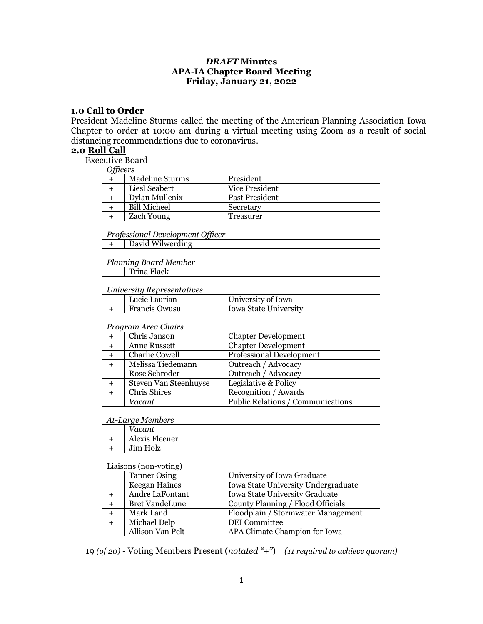## *DRAFT* **Minutes APA-IA Chapter Board Meeting Friday, January 21, 2022**

#### **1.0 Call to Order**

President Madeline Sturms called the meeting of the American Planning Association Iowa Chapter to order at 10:00 am during a virtual meeting using Zoom as a result of social distancing recommendations due to coronavirus.

#### **2.0 Roll Call**

Executive Board

*Officers*

| $\sigma$ |                     |                |
|----------|---------------------|----------------|
|          | Madeline Sturms     | President      |
|          | Liesl Seabert       | Vice President |
|          | Dylan Mullenix      | Past President |
|          | <b>Bill Micheel</b> | Secretary      |
|          | <b>Zach Young</b>   | Treasurer      |

*Professional Development Officer*

+ David Wilwerding

#### *Planning Board Member*

| `rina Flack |  |
|-------------|--|
|             |  |

#### *University Representatives*

| Lucie Laurian | University of Iowa    |
|---------------|-----------------------|
| Francis Owusu | Iowa State University |

#### *Program Area Chairs*

| Chris Janson          | <b>Chapter Development</b>        |
|-----------------------|-----------------------------------|
| <b>Anne Russett</b>   | <b>Chapter Development</b>        |
| Charlie Cowell        | Professional Development          |
| Melissa Tiedemann     | Outreach / Advocacy               |
| Rose Schroder         | Outreach / Advocacy               |
| Steven Van Steenhuyse | Legislative & Policy              |
| Chris Shires          | Recognition / Awards              |
| Vacant                | Public Relations / Communications |

#### *At-Large Members*

| /acant         |  |
|----------------|--|
| Alexis Fleener |  |
| Jim Holz       |  |

#### Liaisons (non-voting)

| <b>Tanner Osing</b>   | University of Iowa Graduate         |
|-----------------------|-------------------------------------|
| Keegan Haines         | Iowa State University Undergraduate |
| Andre LaFontant       | Iowa State University Graduate      |
| <b>Bret VandeLune</b> | County Planning / Flood Officials   |
| Mark Land             | Floodplain / Stormwater Management  |
| Michael Delp          | <b>DEI</b> Committee                |
| Allison Van Pelt      | APA Climate Champion for Iowa       |

19 *(of 20)* - Voting Members Present (*notated "+"*) *(11 required to achieve quorum)*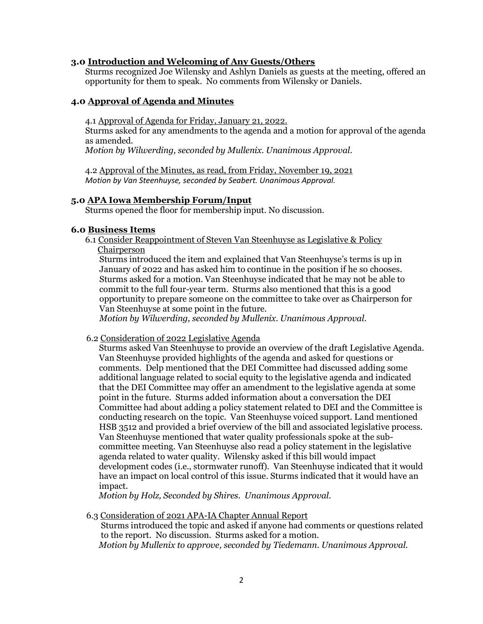## **3.0 Introduction and Welcoming of Any Guests/Others**

Sturms recognized Joe Wilensky and Ashlyn Daniels as guests at the meeting, offered an opportunity for them to speak. No comments from Wilensky or Daniels.

# **4.0 Approval of Agenda and Minutes**

4.1 Approval of Agenda for Friday, January 21, 2022.

Sturms asked for any amendments to the agenda and a motion for approval of the agenda as amended.

*Motion by Wilwerding, seconded by Mullenix. Unanimous Approval.*

4.2 Approval of the Minutes, as read, from Friday, November 19, 2021 *Motion by Van Steenhuyse, seconded by Seabert. Unanimous Approval.*

### **5.0 APA Iowa Membership Forum/Input**

Sturms opened the floor for membership input. No discussion.

### **6.0 Business Items**

6.1 Consider Reappointment of Steven Van Steenhuyse as Legislative & Policy Chairperson

Sturms introduced the item and explained that Van Steenhuyse's terms is up in January of 2022 and has asked him to continue in the position if he so chooses. Sturms asked for a motion. Van Steenhuyse indicated that he may not be able to commit to the full four-year term. Sturms also mentioned that this is a good opportunity to prepare someone on the committee to take over as Chairperson for Van Steenhuyse at some point in the future.

*Motion by Wilwerding, seconded by Mullenix. Unanimous Approval.*

#### 6.2 Consideration of 2022 Legislative Agenda

Sturms asked Van Steenhuyse to provide an overview of the draft Legislative Agenda. Van Steenhuyse provided highlights of the agenda and asked for questions or comments. Delp mentioned that the DEI Committee had discussed adding some additional language related to social equity to the legislative agenda and indicated that the DEI Committee may offer an amendment to the legislative agenda at some point in the future. Sturms added information about a conversation the DEI Committee had about adding a policy statement related to DEI and the Committee is conducting research on the topic. Van Steenhuyse voiced support. Land mentioned HSB 3512 and provided a brief overview of the bill and associated legislative process. Van Steenhuyse mentioned that water quality professionals spoke at the subcommittee meeting. Van Steenhuyse also read a policy statement in the legislative agenda related to water quality. Wilensky asked if this bill would impact development codes (i.e., stormwater runoff). Van Steenhuyse indicated that it would have an impact on local control of this issue. Sturms indicated that it would have an impact.

*Motion by Holz, Seconded by Shires. Unanimous Approval.*

### 6.3 Consideration of 2021 APA-IA Chapter Annual Report

Sturms introduced the topic and asked if anyone had comments or questions related to the report. No discussion. Sturms asked for a motion. *Motion by Mullenix to approve, seconded by Tiedemann. Unanimous Approval.*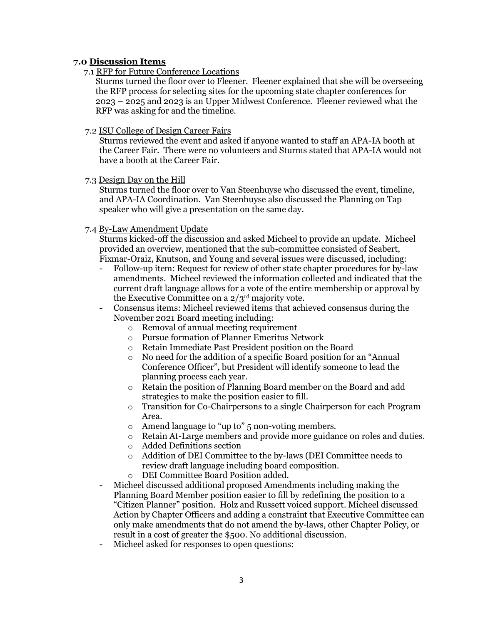# **7.0 Discussion Items**

7.1 RFP for Future Conference Locations

 Sturms turned the floor over to Fleener. Fleener explained that she will be overseeing the RFP process for selecting sites for the upcoming state chapter conferences for 2023 – 2025 and 2023 is an Upper Midwest Conference. Fleener reviewed what the RFP was asking for and the timeline.

7.2 ISU College of Design Career Fairs

Sturms reviewed the event and asked if anyone wanted to staff an APA-IA booth at the Career Fair. There were no volunteers and Sturms stated that APA-IA would not have a booth at the Career Fair.

7.3 Design Day on the Hill

Sturms turned the floor over to Van Steenhuyse who discussed the event, timeline, and APA-IA Coordination. Van Steenhuyse also discussed the Planning on Tap speaker who will give a presentation on the same day.

7.4 By-Law Amendment Update

Sturms kicked-off the discussion and asked Micheel to provide an update. Micheel provided an overview, mentioned that the sub-committee consisted of Seabert, Fixmar-Oraiz, Knutson, and Young and several issues were discussed, including:

- Follow-up item: Request for review of other state chapter procedures for by-law amendments. Micheel reviewed the information collected and indicated that the current draft language allows for a vote of the entire membership or approval by the Executive Committee on a  $2/3^{rd}$  majority vote.
- Consensus items: Micheel reviewed items that achieved consensus during the November 2021 Board meeting including:
	- o Removal of annual meeting requirement
	- o Pursue formation of Planner Emeritus Network
	- o Retain Immediate Past President position on the Board
	- o No need for the addition of a specific Board position for an "Annual Conference Officer", but President will identify someone to lead the planning process each year.
	- o Retain the position of Planning Board member on the Board and add strategies to make the position easier to fill.
	- o Transition for Co-Chairpersons to a single Chairperson for each Program Area.
	- o Amend language to "up to" 5 non-voting members.
	- o Retain At-Large members and provide more guidance on roles and duties.
	- o Added Definitions section
	- o Addition of DEI Committee to the by-laws (DEI Committee needs to review draft language including board composition.
	- o DEI Committee Board Position added.
- Micheel discussed additional proposed Amendments including making the Planning Board Member position easier to fill by redefining the position to a "Citizen Planner" position. Holz and Russett voiced support. Micheel discussed Action by Chapter Officers and adding a constraint that Executive Committee can only make amendments that do not amend the by-laws, other Chapter Policy, or result in a cost of greater the \$500. No additional discussion.
- Micheel asked for responses to open questions: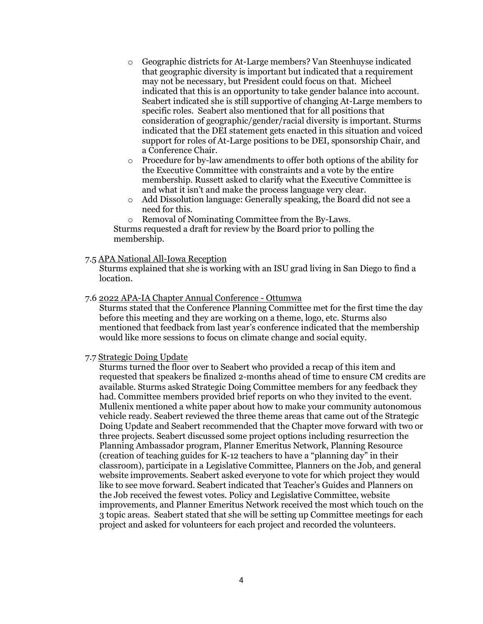- o Geographic districts for At-Large members? Van Steenhuyse indicated that geographic diversity is important but indicated that a requirement may not be necessary, but President could focus on that. Micheel indicated that this is an opportunity to take gender balance into account. Seabert indicated she is still supportive of changing At-Large members to specific roles. Seabert also mentioned that for all positions that consideration of geographic/gender/racial diversity is important. Sturms indicated that the DEI statement gets enacted in this situation and voiced support for roles of At-Large positions to be DEI, sponsorship Chair, and a Conference Chair.
- o Procedure for by-law amendments to offer both options of the ability for the Executive Committee with constraints and a vote by the entire membership. Russett asked to clarify what the Executive Committee is and what it isn't and make the process language very clear.
- o Add Dissolution language: Generally speaking, the Board did not see a need for this.
- o Removal of Nominating Committee from the By-Laws.

Sturms requested a draft for review by the Board prior to polling the membership.

### 7.5 APA National All-Iowa Reception

Sturms explained that she is working with an ISU grad living in San Diego to find a location.

#### 7.6 2022 APA-IA Chapter Annual Conference - Ottumwa

Sturms stated that the Conference Planning Committee met for the first time the day before this meeting and they are working on a theme, logo, etc. Sturms also mentioned that feedback from last year's conference indicated that the membership would like more sessions to focus on climate change and social equity.

#### 7.7 Strategic Doing Update

Sturms turned the floor over to Seabert who provided a recap of this item and requested that speakers be finalized 2-months ahead of time to ensure CM credits are available. Sturms asked Strategic Doing Committee members for any feedback they had. Committee members provided brief reports on who they invited to the event. Mullenix mentioned a white paper about how to make your community autonomous vehicle ready. Seabert reviewed the three theme areas that came out of the Strategic Doing Update and Seabert recommended that the Chapter move forward with two or three projects. Seabert discussed some project options including resurrection the Planning Ambassador program, Planner Emeritus Network, Planning Resource (creation of teaching guides for K-12 teachers to have a "planning day" in their classroom), participate in a Legislative Committee, Planners on the Job, and general website improvements. Seabert asked everyone to vote for which project they would like to see move forward. Seabert indicated that Teacher's Guides and Planners on the Job received the fewest votes. Policy and Legislative Committee, website improvements, and Planner Emeritus Network received the most which touch on the 3 topic areas. Seabert stated that she will be setting up Committee meetings for each project and asked for volunteers for each project and recorded the volunteers.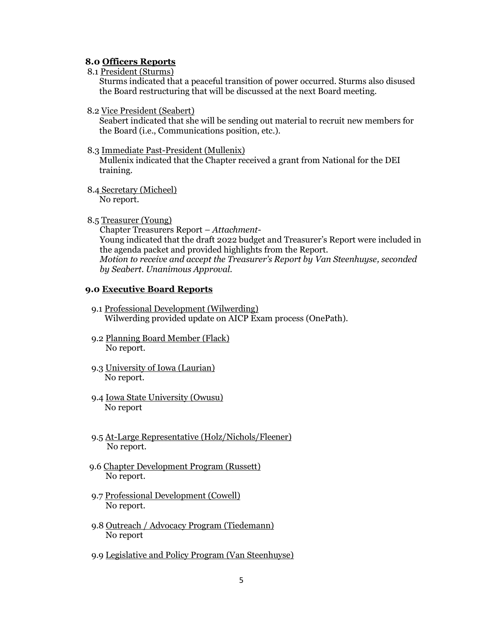#### **8.0 Officers Reports**

8.1 President (Sturms)

Sturms indicated that a peaceful transition of power occurred. Sturms also disused the Board restructuring that will be discussed at the next Board meeting.

8.2 Vice President (Seabert)

Seabert indicated that she will be sending out material to recruit new members for the Board (i.e., Communications position, etc.).

8.3 Immediate Past-President (Mullenix)

Mullenix indicated that the Chapter received a grant from National for the DEI training.

- 8.4 Secretary (Micheel) No report.
- 8.5 Treasurer (Young)

 Chapter Treasurers Report – *Attachment-* Young indicated that the draft 2022 budget and Treasurer's Report were included in the agenda packet and provided highlights from the Report.  *Motion to receive and accept the Treasurer's Report by Van Steenhuyse, seconded by Seabert. Unanimous Approval.*

#### **9.0 Executive Board Reports**

- 9.1 Professional Development (Wilwerding) Wilwerding provided update on AICP Exam process (OnePath).
- 9.2 Planning Board Member (Flack) No report.
- 9.3 University of Iowa (Laurian) No report.
- 9.4 Iowa State University (Owusu) No report
- 9.5 At-Large Representative (Holz/Nichols/Fleener) No report.
- 9.6 Chapter Development Program (Russett) No report.
- 9.7 Professional Development (Cowell) No report.
- 9.8 Outreach / Advocacy Program (Tiedemann) No report
- 9.9 Legislative and Policy Program (Van Steenhuyse)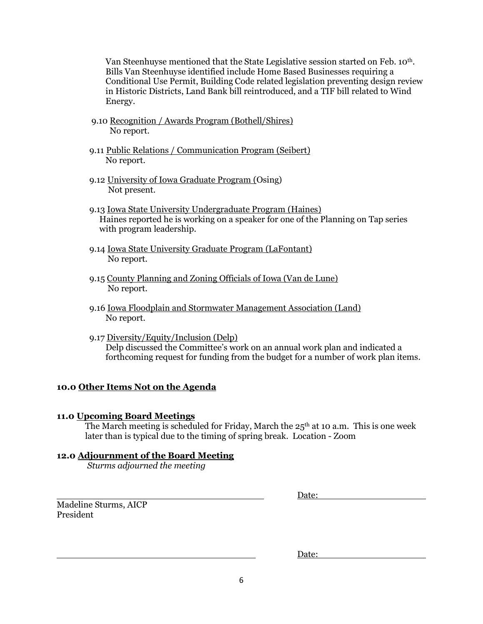Van Steenhuyse mentioned that the State Legislative session started on Feb. 10<sup>th</sup>. Bills Van Steenhuyse identified include Home Based Businesses requiring a Conditional Use Permit, Building Code related legislation preventing design review in Historic Districts, Land Bank bill reintroduced, and a TIF bill related to Wind Energy.

- 9.10 Recognition / Awards Program (Bothell/Shires) No report.
- 9.11 Public Relations / Communication Program (Seibert) No report.
- 9.12 University of Iowa Graduate Program (Osing) Not present.
- 9.13 Iowa State University Undergraduate Program (Haines) Haines reported he is working on a speaker for one of the Planning on Tap series with program leadership.
- 9.14 Iowa State University Graduate Program (LaFontant) No report.
- 9.15 County Planning and Zoning Officials of Iowa (Van de Lune) No report.
- 9.16 Iowa Floodplain and Stormwater Management Association (Land) No report.
- 9.17 Diversity/Equity/Inclusion (Delp) Delp discussed the Committee's work on an annual work plan and indicated a forthcoming request for funding from the budget for a number of work plan items.

# **10.0 Other Items Not on the Agenda**

### **11.0 Upcoming Board Meetings**

The March meeting is scheduled for Friday, March the  $25<sup>th</sup>$  at 10 a.m. This is one week later than is typical due to the timing of spring break. Location - Zoom

# **12.0 Adjournment of the Board Meeting**

*Sturms adjourned the meeting*

Madeline Sturms, AICP President

Date:

Date: